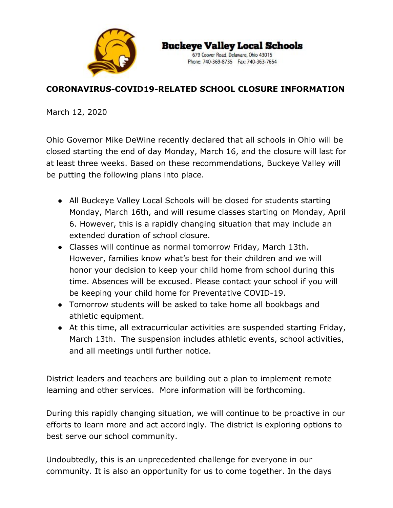

**Buckeye Valley Local Schools** 

679 Coover Road, Delaware, Ohio 43015 Phone: 740-369-8735 Fax: 740-363-7654

## **CORONAVIRUS-COVID19-RELATED SCHOOL CLOSURE INFORMATION**

March 12, 2020

Ohio Governor Mike DeWine recently declared that all schools in Ohio will be closed starting the end of day Monday, March 16, and the closure will last for at least three weeks. Based on these recommendations, Buckeye Valley will be putting the following plans into place.

- All Buckeye Valley Local Schools will be closed for students starting Monday, March 16th, and will resume classes starting on Monday, April 6. However, this is a rapidly changing situation that may include an extended duration of school closure.
- Classes will continue as normal tomorrow Friday, March 13th. However, families know what's best for their children and we will honor your decision to keep your child home from school during this time. Absences will be excused. Please contact your school if you will be keeping your child home for Preventative COVID-19.
- Tomorrow students will be asked to take home all bookbags and athletic equipment.
- At this time, all extracurricular activities are suspended starting Friday, March 13th. The suspension includes athletic events, school activities, and all meetings until further notice.

District leaders and teachers are building out a plan to implement remote learning and other services. More information will be forthcoming.

During this rapidly changing situation, we will continue to be proactive in our efforts to learn more and act accordingly. The district is exploring options to best serve our school community.

Undoubtedly, this is an unprecedented challenge for everyone in our community. It is also an opportunity for us to come together. In the days